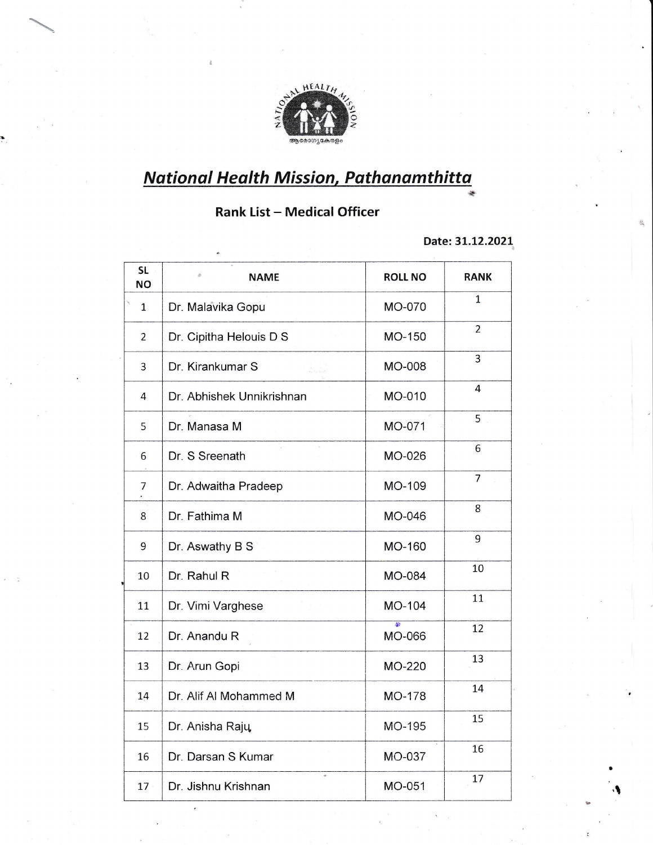

## <mark>National Health Mission, Pathanamthitta</mark> +

## **Rank List - Medical Officer**

Date: 31.12.2021

.t

| <b>SL</b><br><b>NO</b> | <b>NAME</b>               | <b>ROLL NO</b> | <b>RANK</b>    |
|------------------------|---------------------------|----------------|----------------|
| $\mathbf{1}$           | Dr. Malavika Gopu         | <b>MO-070</b>  | 1              |
| $\overline{2}$         | Dr. Cipitha Helouis D S   | MO-150         | $\overline{2}$ |
| $\overline{3}$         | Dr. Kirankumar S          | MO-008         | 3              |
| 4                      | Dr. Abhishek Unnikrishnan | MO-010         | 4              |
| 5                      | Dr. Manasa M              | MO-071         | 5              |
| 6                      | Dr. S Sreenath            | MO-026         | 6              |
| $\overline{7}$         | Dr. Adwaitha Pradeep      | MO-109         | $\overline{7}$ |
| 8                      | Dr. Fathima M             | MO-046         | 8              |
| 9                      | Dr. Aswathy B S           | MO-160         | 9              |
| 10                     | Dr. Rahul R               | <b>MO-084</b>  | 10             |
| 11                     | Dr. Vimi Varghese         | MO-104         | 11             |
| 12                     | Dr. Anandu R              | 座<br>MO-066    | 12             |
| 13                     | Dr. Arun Gopi             | MO-220         | 13             |
| 14                     | Dr. Alif Al Mohammed M    | MO-178         | 14             |
| 15                     | Dr. Anisha Rajų           | MO-195         | 15             |
| 16                     | Dr. Darsan S Kumar        | MO-037         | 16             |
| $17 -$                 | Dr. Jishnu Krishnan       | MO-051         | 17             |